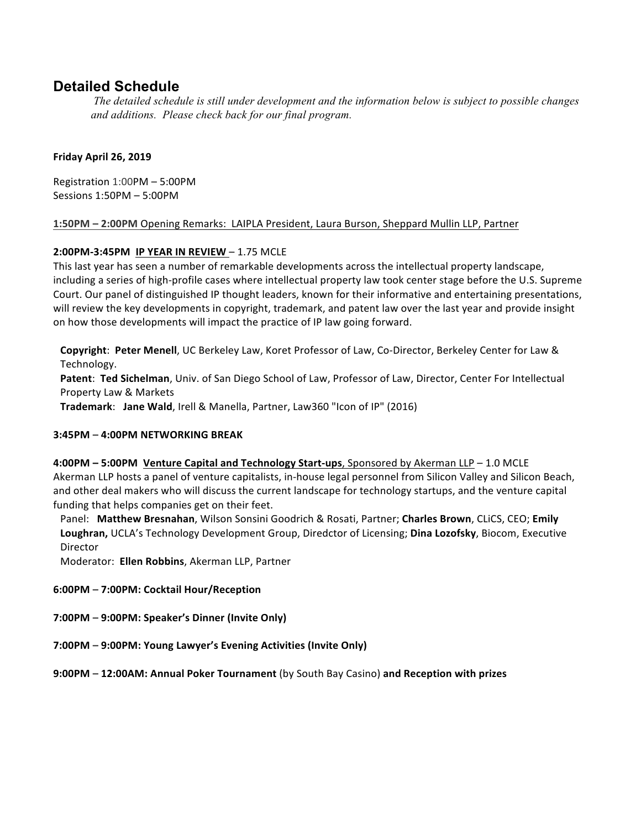# **Detailed Schedule**

*The detailed schedule is still under development and the information below is subject to possible changes and additions. Please check back for our final program.*

### **Friday April 26, 2019**

Registration 1:00PM – 5:00PM Sessions 1:50PM - 5:00PM

### 1:50PM - 2:00PM Opening Remarks: LAIPLA President, Laura Burson, Sheppard Mullin LLP, Partner

# **2:00PM-3:45PM IP YEAR IN REVIEW** – 1.75 MCLE

This last year has seen a number of remarkable developments across the intellectual property landscape, including a series of high-profile cases where intellectual property law took center stage before the U.S. Supreme Court. Our panel of distinguished IP thought leaders, known for their informative and entertaining presentations, will review the key developments in copyright, trademark, and patent law over the last year and provide insight on how those developments will impact the practice of IP law going forward.

**Copyright: Peter Menell,** UC Berkeley Law, Koret Professor of Law, Co-Director, Berkeley Center for Law & Technology.

Patent: Ted Sichelman, Univ. of San Diego School of Law, Professor of Law, Director, Center For Intellectual Property Law & Markets

**Trademark: Jane Wald**, Irell & Manella, Partner, Law360 "Icon of IP" (2016)

# **3:45PM – 4:00PM NETWORKING BREAK**

# **4:00PM – 5:00PM Venture Capital and Technology Start-ups**, Sponsored by Akerman LLP – 1.0 MCLE Akerman LLP hosts a panel of venture capitalists, in-house legal personnel from Silicon Valley and Silicon Beach, and other deal makers who will discuss the current landscape for technology startups, and the venture capital funding that helps companies get on their feet.

Panel: Matthew Bresnahan, Wilson Sonsini Goodrich & Rosati, Partner; Charles Brown, CLiCS, CEO; Emily **Loughran,** UCLA's Technology Development Group, Diredctor of Licensing; Dina Lozofsky, Biocom, Executive Director

Moderator: Ellen Robbins, Akerman LLP, Partner

# **6:00PM – 7:00PM: Cocktail Hour/Reception**

- **7:00PM – 9:00PM: Speaker's Dinner (Invite Only)**
- **7:00PM – 9:00PM: Young Lawyer's Evening Activities (Invite Only)**

**9:00PM** - 12:00AM: Annual Poker Tournament (by South Bay Casino) and Reception with prizes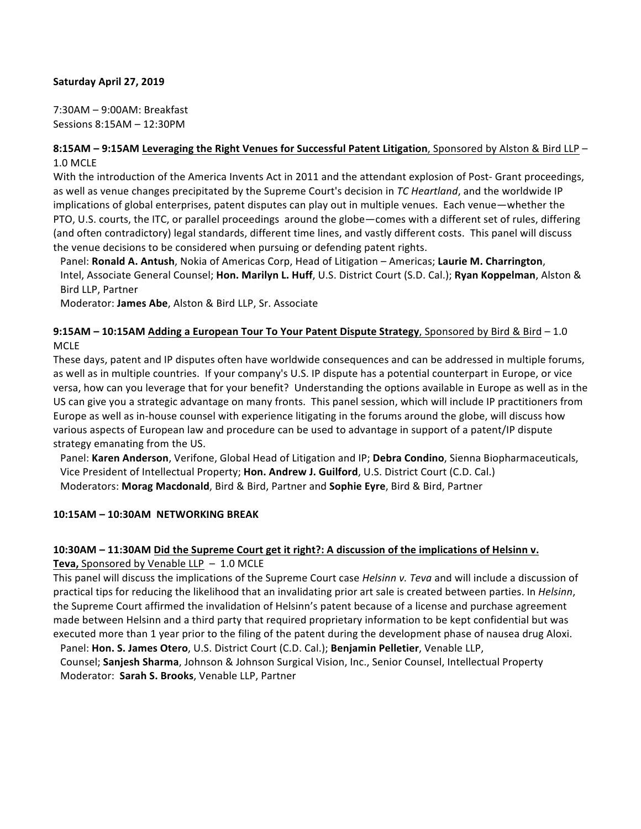### **Saturday April 27, 2019**

7:30AM - 9:00AM: Breakfast Sessions 8:15AM - 12:30PM

### **8:15AM - 9:15AM Leveraging the Right Venues for Successful Patent Litigation, Sponsored by Alston & Bird LLP -**1.0 MCLE

With the introduction of the America Invents Act in 2011 and the attendant explosion of Post- Grant proceedings, as well as venue changes precipitated by the Supreme Court's decision in *TC Heartland*, and the worldwide IP implications of global enterprises, patent disputes can play out in multiple venues. Each venue—whether the PTO, U.S. courts, the ITC, or parallel proceedings around the globe—comes with a different set of rules, differing (and often contradictory) legal standards, different time lines, and vastly different costs. This panel will discuss the venue decisions to be considered when pursuing or defending patent rights.

Panel: **Ronald A. Antush**, Nokia of Americas Corp, Head of Litigation – Americas; **Laurie M. Charrington**, Intel, Associate General Counsel; Hon. Marilyn L. Huff, U.S. District Court (S.D. Cal.); Ryan Koppelman, Alston & Bird LLP, Partner

Moderator: James Abe, Alston & Bird LLP, Sr. Associate

# **9:15AM – 10:15AM Adding a European Tour To Your Patent Dispute Strategy, Sponsored by Bird & Bird – 1.0** MCLE

These days, patent and IP disputes often have worldwide consequences and can be addressed in multiple forums, as well as in multiple countries. If your company's U.S. IP dispute has a potential counterpart in Europe, or vice versa, how can you leverage that for your benefit? Understanding the options available in Europe as well as in the US can give you a strategic advantage on many fronts. This panel session, which will include IP practitioners from Europe as well as in-house counsel with experience litigating in the forums around the globe, will discuss how various aspects of European law and procedure can be used to advantage in support of a patent/IP dispute strategy emanating from the US.

Panel: Karen Anderson, Verifone, Global Head of Litigation and IP; Debra Condino, Sienna Biopharmaceuticals, Vice President of Intellectual Property; Hon. Andrew J. Guilford, U.S. District Court (C.D. Cal.) Moderators: Morag Macdonald, Bird & Bird, Partner and Sophie Eyre, Bird & Bird, Partner

# **10:15AM – 10:30AM NETWORKING BREAK**

# **10:30AM** – 11:30AM Did the Supreme Court get it right?: A discussion of the implications of Helsinn v.

**Teva, Sponsored by Venable LLP - 1.0 MCLE** 

This panel will discuss the implications of the Supreme Court case *Helsinn v. Teva* and will include a discussion of practical tips for reducing the likelihood that an invalidating prior art sale is created between parties. In *Helsinn*, the Supreme Court affirmed the invalidation of Helsinn's patent because of a license and purchase agreement made between Helsinn and a third party that required proprietary information to be kept confidential but was executed more than 1 year prior to the filing of the patent during the development phase of nausea drug Aloxi.

Panel: Hon. S. James Otero, U.S. District Court (C.D. Cal.); Benjamin Pelletier, Venable LLP, Counsel; Sanjesh Sharma, Johnson & Johnson Surgical Vision, Inc., Senior Counsel, Intellectual Property Moderator: Sarah S. Brooks, Venable LLP, Partner